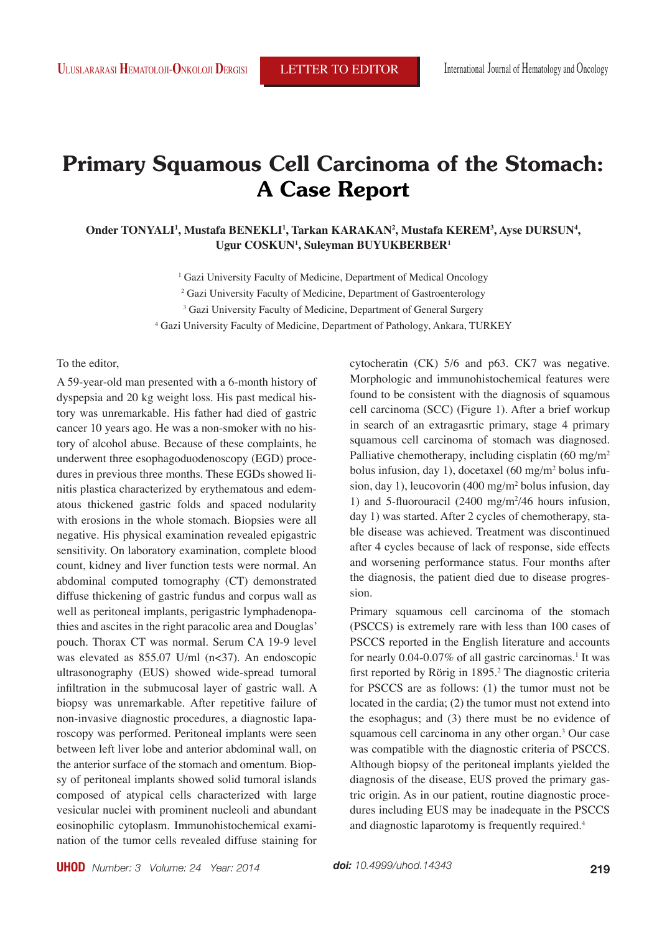# **Primary Squamous Cell Carcinoma of the Stomach: A Case Report**

Onder TONYALI<sup>I</sup>, Mustafa BENEKLI<sup>I</sup>, Tarkan KARAKAN<sup>2</sup>, Mustafa KEREM<sup>3</sup>, Ayse DURSUN<sup>4</sup>, **Ugur COSKUN1 , Suleyman BUYUKBERBER1**

> <sup>1</sup> Gazi University Faculty of Medicine, Department of Medical Oncology <sup>2</sup> Gazi University Faculty of Medicine, Department of Gastroenterology <sup>3</sup> Gazi University Faculty of Medicine, Department of General Surgery 4 Gazi University Faculty of Medicine, Department of Pathology, Ankara, TURKEY

## To the editor,

A 59-year-old man presented with a 6-month history of dyspepsia and 20 kg weight loss. His past medical history was unremarkable. His father had died of gastric cancer 10 years ago. He was a non-smoker with no history of alcohol abuse. Because of these complaints, he underwent three esophagoduodenoscopy (EGD) procedures in previous three months. These EGDs showed linitis plastica characterized by erythematous and edematous thickened gastric folds and spaced nodularity with erosions in the whole stomach. Biopsies were all negative. His physical examination revealed epigastric sensitivity. On laboratory examination, complete blood count, kidney and liver function tests were normal. An abdominal computed tomography (CT) demonstrated diffuse thickening of gastric fundus and corpus wall as well as peritoneal implants, perigastric lymphadenopathies and ascites in the right paracolic area and Douglas' pouch. Thorax CT was normal. Serum CA 19-9 level was elevated as 855.07 U/ml (n<37). An endoscopic ultrasonography (EUS) showed wide-spread tumoral infiltration in the submucosal layer of gastric wall. A biopsy was unremarkable. After repetitive failure of non-invasive diagnostic procedures, a diagnostic laparoscopy was performed. Peritoneal implants were seen between left liver lobe and anterior abdominal wall, on the anterior surface of the stomach and omentum. Biopsy of peritoneal implants showed solid tumoral islands composed of atypical cells characterized with large vesicular nuclei with prominent nucleoli and abundant eosinophilic cytoplasm. Immunohistochemical examination of the tumor cells revealed diffuse staining for cytocheratin (CK) 5/6 and p63. CK7 was negative. Morphologic and immunohistochemical features were found to be consistent with the diagnosis of squamous cell carcinoma (SCC) (Figure 1). After a brief workup in search of an extragasrtic primary, stage 4 primary squamous cell carcinoma of stomach was diagnosed. Palliative chemotherapy, including cisplatin (60 mg/m<sup>2</sup>) bolus infusion, day 1), docetaxel (60 mg/m2 bolus infusion, day 1), leucovorin (400 mg/m2 bolus infusion, day 1) and 5-fluorouracil  $(2400 \text{ mg/m}^2/46 \text{ hours}$  infusion, day 1) was started. After 2 cycles of chemotherapy, stable disease was achieved. Treatment was discontinued after 4 cycles because of lack of response, side effects and worsening performance status. Four months after the diagnosis, the patient died due to disease progression.

Primary squamous cell carcinoma of the stomach (PSCCS) is extremely rare with less than 100 cases of PSCCS reported in the English literature and accounts for nearly  $0.04$ - $0.07\%$  of all gastric carcinomas.<sup>1</sup> It was first reported by Rörig in 1895.<sup>2</sup> The diagnostic criteria for PSCCS are as follows: (1) the tumor must not be located in the cardia; (2) the tumor must not extend into the esophagus; and (3) there must be no evidence of squamous cell carcinoma in any other organ.<sup>3</sup> Our case was compatible with the diagnostic criteria of PSCCS. Although biopsy of the peritoneal implants yielded the diagnosis of the disease, EUS proved the primary gastric origin. As in our patient, routine diagnostic procedures including EUS may be inadequate in the PSCCS and diagnostic laparotomy is frequently required.4